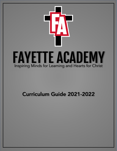

# Curriculum Guide 2021-2022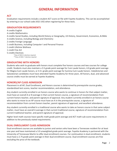## **GENERAL INFORMATION**

### **ACT**

Graduation requirements include a student ACT score on file with Fayette Academy. This can be accomplished by entering in our school code (432-143) when registering for these tests.

## **GRADUATION REQUIREMENTS**

4 credits English 4 credits Mathematics 4 credits Social Studies, including World History or Geography, US History, Government, Economics, & Bible 3 credits Science, including Biology and Chemistry 2 credits Foreign Language 1 credit Business, including Computer I and Personal Finance 1 credit Lifetime Wellness 1 credit Fine Art 5 credits Electives \*Class of 2023: 6 electives required \*\*Class of 2024: 7 electives required

## **GRADUATING WITH HONORS**

Students who wish to graduate with honors must complete five honors courses and two courses for college credit. Students must also maintain a 3.5 grade point average for Cum Laude honors, 4.0 grade point average for Magna Cum Laude honors, or 4.5+ grade point average for Summa Cum Laude honors. Valedictorian and Salutatorian candidates must have attended Fayette Academy for three years. All honors, dual, and advanced course credits must be earned at Fayette Academy.

## **HONORS/AP CLASS ADMISSION**

Placement in all AP, Dual Enrollment, and Honors courses is determined by prerequisite course grades, standardized test scores, teacher recommendation, and attendance.

Any student currently enrolled in an honors course who wants to continue in honors for that subject matter, must have an overall A or B average in that current honors course, a signature of recommendation from current honors teacher, and parent signature of approval. Any student currently enrolled in an honors course who wants to move to an AP course must have an A in the prerequisite course, a signature of recommendation from current honors teacher, parent signature of approval, and excellent attendance.

Any student currently enrolled in a traditional course who wants to take an honors course in that same subject matter, must have an overall A average in that current traditional course, signature of recommendation from current traditional teacher, and parent signature of approval.

Higher level math courses have specific math grade point average and ACT math sub-score requirements in addition to the previously stated requirements.

## **DUAL ENROLLMENT CLASS ADMISSION**

Dual enrollment courses are available to juniors and seniors who have been a Tennessee resident for at least one year and have maintained a 3.0 unweighted grade point average. Fayette Academy is partnered with the University of Tennessee Martin to offer dual enrollment courses. For continuation in dual enrollment, students must have a 2.75 grade point average in their dual enrollment course. Dual enrollment courses are free excluding the price of the textbook.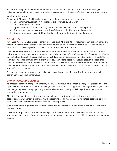Students may explore how their UT Martin dual enrollment course may transfer to another college or university by searching the 'transfer equivalency' agreements on the college/university of interests' website.

### *Application Procedures*

Please see UT Martin's Dual Enrollment website for important dates and deadlines.

- 1. Dual Enrollment Application: Applications are reviewed by UT Martin
- 2. Dual Enrollment TSAC Grant
- 3. Upon acceptance, student must register for the course in UT Martin's online portal
- 4. Students must submit a copy of their driver's license to the Upper School Counselor
- 5. Student must submit signed UT Martin Consent Form to the Upper School Counselor

## **AP TESTING**

Advanced Placement Classes are taught at a college level. All students are required to pay the testing fee and take the AP exam administered at the end of the course. Students receiving a score of 3, 4, or 5 on the AP exam may receive college credit at the discretion of the college/university.

College Board requires that students pay the AP examination fee by November 1. In the case of a student being removed from an AP course in January, approximately half of the AP examination fee could be refunded by the College Board. In the case of illness on test date, the AP Coordinator will attempt to reschedule the individual student's exam and the student must pay the College Board rescheduling fee. In the case of an inability to reschedule or unexcused test date absence, the student will not be refunded the exam fee by the College Board and the student must take a final exam from the course instructor to serve as one-fifth of the student's semester grade.

Students may explore how college or universities award course credit regarding the AP exam scores by searching the College Boards website.

## **DROPPING/ADDING CLASSES**

To process a schedule change, students in grades 9-12 must submit a Schedule Change Request Form to the Upper School Counselor within the first five (5) days of any semester. Approval of changes is contingent upon the change requested being logistically possible, class size availability, and change does not jeopardize graduation requirements.

After the first five (5) days of the any semester, changes in a student's schedule are granted based on academic concerns. Schedule changes may be recommended by parents, administrators, teachers, and/or counselors will be completed pending Head of School approval.

If a Course Change is granted, the student's grade and attendance from the previous course will transfer to the new course.

If a student drops below a B semester average in a Dual Enrollment or Advanced Placement course, the student may be removed from the course during the second semester and placed in the equivalent traditional course.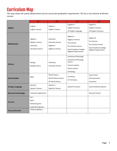## Curriculum Map

*This map shows the yearly advancement of core courses for graduation requirements. The list is not inclusive of elective courses.* 

|                            | gth                                                                                | 10 <sup>th</sup>                                                      | 11 <sup>th</sup>                                                                                                                        | 12 <sup>th</sup>                                                                                             |
|----------------------------|------------------------------------------------------------------------------------|-----------------------------------------------------------------------|-----------------------------------------------------------------------------------------------------------------------------------------|--------------------------------------------------------------------------------------------------------------|
| <b>English</b>             | English I<br>English I Honors                                                      | English II<br>English II Honors                                       | English III<br>English III Honors<br>AP English Language                                                                                | English IV<br>English IV Honors<br>AP English Literature                                                     |
| <b>Mathematics</b>         | Algebra I<br>Algebra I Honors<br>Geometry<br>Geometry Honors                       | Geometry<br><b>Geometry Honors</b><br>Algebra II<br>Algebra II Honors | Algebra II<br>Algebra II Honors<br>Pre-Calculus<br><b>Pre-Calculus Honors</b><br><b>Dual Enrollment College</b><br>Algebra/Trigonometry | Algebra III<br>Pre-Calculus<br>Pre-Calculus Honors<br><b>Dual Enrollment College</b><br>Algebra/Trigonometry |
| <b>Science</b>             | Biology<br><b>Biology Honors</b>                                                   | Chemistry<br><b>Chemistry Honors</b>                                  | Anatomy & Physiology<br>Anatomy & Physiology<br>Honors<br><b>Forensic Science</b><br>Physics Honors<br>AP Biology                       |                                                                                                              |
| <b>Social Studies</b>      | <b>Bible</b>                                                                       | World History<br>World History Honors<br>AP World History             | <b>US History</b><br>AP US History                                                                                                      | Government<br>AP Government<br>Economics                                                                     |
| <b>Foreign Language</b>    | Spanish I<br>Spanish I Honors                                                      | Spanish II<br>Spanish II Honors                                       | Spanish III Honors                                                                                                                      | Dual Enrollment Spanish                                                                                      |
| <b>Business/Technology</b> | <b>Computer Applications</b>                                                       |                                                                       |                                                                                                                                         | Personal Finance                                                                                             |
| <b>Fine Arts</b>           | Art I<br>Band<br><b>Performing Arts</b><br>Audio & Production<br>Lifetime Wellness |                                                                       |                                                                                                                                         |                                                                                                              |
| <b>Physical Education</b>  |                                                                                    |                                                                       |                                                                                                                                         |                                                                                                              |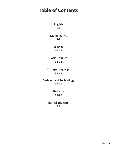## **Table of Contents**

**English 6-7** 

**Mathematics 8-9** 

> **Science 10-11**

**Social Studies 12-14**

**Foreign Language 15-16**

**Business and Technology 17-18**

> **Fine Arts 19-20**

**Physical Education 21**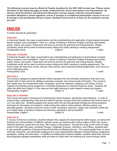*The following courses may be offered at Fayette Academy for the 2021-2022 school year. Please review the items on the following pages to better understand the course descriptions and requirements. All Honors, Dual Enrollment, and Advanced Placement courses require a teacher recommendation, excellent attendance, parent signature, and an A average in a traditional prerequisite course or an A or B average in the prerequisite Honors course. Students must enroll in at least six (6) academic courses per year.*

## ENGLISH

*4 credits required for graduation*

### **ENGLISH I**

In freshman English, the major concentrations are the understanding and application of grammatical concepts, literary analysis, and composition. There is a variety of reading in freshman English including short stories, poetry, drama, and novels. These texts will serve as anchors for grammar and writing lessons. Weekly vocabulary words will be used to enhance essay writing and clarify meaning in reading assignments. Prerequisites: None 1 credit notice and Grade 9 1 credit notice and 1 credit notice and 1 credit

#### **ENGLISH I HONORS**

In freshman English, the major concentrations are understanding and application of grammatical concepts, literary analysis, and composition. There is a variety of reading in freshman English including short stories, poetry, drama, and novels. These texts will serve as anchors for grammar and writing lessons. Weekly vocabulary words will be used to enhance essay writing and clarify meaning in reading assignments. The honors class will read more novels, discuss more authors, have enhanced writing assignments, and move at a more challenging pace. Prerequisites: none and a set of the Grade 9 1 credit of the Grade 9 1 credit 1 credit

#### **ENGLISH II**

The course is designed to present Modern World Literature from the Christian perspective that God is the Creator both of man and of his abilities to perceive, evaluate, and communicate information. This course is also based upon five fundamental skills: vocabulary, grammar, literature, speaking, and writing. Course material and activities will be taught from a Christian perspective to enhance these five areas. Students will utilize the skills from English I in this class as they begin learning to write research essays and papers. Prerequisites: English I Grade 10 Grade 10 1 credit

#### **ENGLISH II HONORS**

This course will explore Classical and Contemporary World literature, specifically quest literature, in order to enhance their understanding of life and the need for heroism as they unlock the mysteries that confront each of us in our daily lives. Students grapple with issues within the text that generate thought-provoking questions and topics for discussion and research, while honing their skills in close analysis, effective writing, and articulate speech. Students continue to build on their vocabulary, grammar, usage, and mechanics skills with an in-depth study of sentence analysis and structure, agreement, and punctuation. Prerequisites: English I and the Crack of Grade 10 and the Credit 1 credit is not a 1 credit

#### **ENGLISH III**

In *Survey of American Literature*, students deepen their capacity for discerning the distinct types, as well as the diversity and commonalities, of different national voices by examining the various origins of their own voices distinctly American voices from the early 19th century to the present. Through the study of the works of major writers of the past 200 years, including Thoreau, Fitzgerald, Emerson, Dickinson, and O'Brien, students learn to ask essential questions of literature that will fuel them as lifelong learners. The course guides them to more informed, interactive, and inferential reading and to more sophisticated methods of critical thinking, imaginative perception, writing, and discussion. In addition to building their research abilities, students refine their oral and technologically assisted presentation skills and learn to clarify their own thinking and voices through critical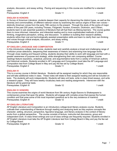| class.<br>Prerequisites: English II | Grade 11                                                                                                            | 1 credit |
|-------------------------------------|---------------------------------------------------------------------------------------------------------------------|----------|
|                                     |                                                                                                                     |          |
| <b>ENGLISH III HONORS</b>           |                                                                                                                     |          |
|                                     | In Survey of American Literature, students deepen their capacity for discerning the distinct types, as well as the  |          |
|                                     | diversity and commonalities, of different national voices by examining the various origins of their own voices—     |          |
|                                     | distinctly American voices from the early 19th century to the present. Through the study of the works of major      |          |
|                                     | writers of the past 200 years, including Thoreau, Fitzgerald, Hurston, Emerson, Dickinson, and O'Brien,             |          |
|                                     | students learn to ask essential questions of literature that will fuel them as lifelong learners. The course guides |          |
|                                     | them to more informed, interactive, and inferential reading and to more sophisticated methods of critical           |          |
|                                     | thinking, imaginative perception, writing, and discussion. In addition to building their research abilities,        |          |
|                                     | students refine their oral and technologically assisted presentation skills and learn to clarify their own thinking |          |

Prerequisites: English II and the Crack of Grade 11 and the Credit of Teredit and Teredit and Teredit

analysis, discussion, and essay writing. Pacing and sequencing in this course are modified for a standard

### **AP ENGLISH LANGUAGE AND COMPOSITION**

and voices through critical analysis, discussion, and essay writing.

In this introductory college-level course, students read and carefully analyze a broad and challenging range of nonfiction prose selections, deepening their awareness of rhetoric and examining how language works. Through close reading and frequent writing, students develop their ability to work with language and text with a greater awareness of purpose and strategy, while strengthening their own composing abilities. Course readings feature expository, analytical, personal, and argumentative texts from a variety of American authors and historical contexts. Students enrolled in AP Language and Composition must take the AP Language and Composition test from College Board in May and pay the fee set by College Board. Prerequisites: English II Grade 11 Credit Grade 11

#### **ENGLISH IV**

This is a survey course in British literature. Students will be assigned reading for which they are responsible and will take additional notes in class. These notes will relate to their assigned reading and will be included on tests. The students will work independently. Students will take unit tests, write in-class timed essays, and write a research paper. They will have weekly vocabulary tests and reading assignments. Interwoven with the literature will be grammar tests. Prerequisites: English III Grade 12 Grade 12 1 credit

#### **ENGLISH IV HONORS**

This course examines the origins of world literature from 5th century Anglo-Saxons to Shakespeare to contemporary prose that span the globe. Students will engage with complex prose that expose the human condition and that pose some of the most important questions as to the very existence of mankind. Prerequisites: English III and the Crack of Grade 12 and the Credit 1 credit and 1 credit

#### **AP ENGLISH LITERATURE**

AP English Literature and Composition is an introductory college-level literary analysis course. Students cultivate their understanding of literature through reading and analyzing texts as they explore concepts like character, setting, structure, perspective, figurative language, and literary analysis in the context of literary works from a global perspective. The course consists of lecture, instructor-led discussions, group and independent work. In-class timed writings and out-of-class writings are frequently required. Students enrolled in AP English Literature must take the AP English Literature test from College Board in May and pay the fee set by College Board. Prerequisites: English III Grade 12 Grade 12 1 credit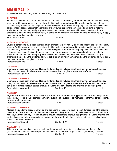Prerequisites: none example and the Grade 9 1 credit credit of the Magnus of the Grade 9 1 credit **ALGEBRA I HONORS** Students continue to build upon the foundation of math skills previously learned to expand the students' ability in math. Problem solving skills and abstract thinking skills are emphasized to help the students master any problems they may encounter. Algebra I is the building block for the remaining high school math classes and college math classes. Basic math operations are reviewed using more complicated problems to help the students and the teacher identify any weaknesses the students may have with these operations. A high emphasis is placed on the students' ability to solve for an unknown number and on the students' ability to apply rules and properties to a given problem. Prerequisites: none and a set of the Grade 9 1 credit control of the Magnus of the Magnus of the Magnus of the Magnus of the Magnus of the Magnus of the Magnus of the Magnus of the Magnus of the Magnus of the Magnus of the

**ALGEBRA I**

*4 credits required including Algebra I, Geometry, and Algebra II*

Students continue to build upon the foundation of math skills previously learned to expand the students' ability in math. Problem solving skills and abstract thinking skills are emphasized to help the students master any problems they may encounter. Algebra I is the building block for the remaining high school math classes and college math classes. Basic math operations are reviewed using more complicated problems to help the students and the teacher identify any weaknesses the students may have with these operations. A high emphasis is placed on the students' ability to solve for an unknown number and on the students' ability to apply rules and properties to a given problem.

MATHEMATICS

## **GEOMETRY**

Geometry focuses upon proofs and logical thinking. Topics includes constructions, trigonometry, triangles, polygons, and proportional reasoning related to points, lines, angles, shapes, and surfaces. Prerequisites: Algebra I Credit Communication Credit Grade 10 and Credit Credit Credit Credit

### **GEOMETRY HONORS**

Geometry focuses upon proofs and logical thinking. Topics includes constructions, trigonometry, triangles, polygons, and proportional reasoning related to points, lines, angles, shapes, and surfaces. Honors students can expect a more rigorous course of study including extensive proofs and analysis of various figures. Prerequisites: Algebra I Grade 9, 10 and Grade 9, 10 and Grade 9, 10 and Gredit

## **ALGEBRA II**

Algebra II extends the study of variables and equations to include various types of functions and the patterns they create. Topics include complex numbers, systems of equations, polynomials, logarithms, conic sections, radicals, and trigonometry. Prerequisites: Geometry and Communication of Grade 11 and Communication of the Communication of the Communication of the Communication of the Communication of the Communication of the Communication of the Communication of

## **ALGEBRA II HONORS**

Algebra II extends the study of variables and equations to include various types of, functions and the patterns they create. Topics include complex numbers, systems of equations, polynomials, logarithms, conic sections, radicals, and trigonometry. Honors students should expect more rigorous assignments, including analysis and synthesis assignments at various times throughout the year, in addition to extensive focus on application of study to real world problems. Prerequisites: Geometry and Grade 10, 11 and Grade 10, 11 and 1 credit

**ALGEBRA III** This terminal mathematics course is designed to prepare students for an applied course of study after graduation. This course focuses upon mathematical applications of Algebra and Trigonometry in review. Prerequisites: Algebra II and the Crack of Grade 12 and the Credit 1 credit and 1 credit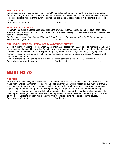#### **PRE-CALCULUS**

Pre-calculus covers the same topics as Honors Pre-calculus, but not as thoroughly, and at a slower pace. Students hoping to take Calculus senior year are cautioned not to take this class because they will be required to do considerable work over the summer to make-up the material not completed in the Honors level of Precalculus.

Prerequisites: Algebra II and the Contract of Grade 11, 12 and the Contract of Terredit Contract of Terredit

#### **PRE-CALCULUS HONORS**

Honors Pre-calculus is a fast-paced class that is the prerequisite for AP Calculus. In it we study both highly advanced functional concepts, and trigonometry, that are based heavily on previous coursework. The course is at an accelerated pace.

*Pre-Calculus Honors students should have a 3.0 math grade point average and/or 24 ACT Math sub-score.*  Prerequisites: Algebra II entertainment of the Grade 11, 12 and 1 credit the 1 credit

#### **DUAL ENROLLMENT COLLEGE ALGEBRA AND TRIGONOMETRY**

College Algebra: Functions (e.g., polynomial, exponential, and logarithmic). Zeroes of polynomials. Solutions of systems of equations and inequalities. Selected topics from algebra such as matrices and determinants, partial fractions, and the binomial theorem. Trigonometry: Trigonometric functions, identities, graphs, equations, harmonic motion, trigonometric form of complex numbers, vectors, dot product, and conics. Applications of trigonometric functions.

*Dual Enrollment students should have a 3.0 overall grade point average and 25 ACT Math sub-score.*  Prerequisites: Algebra II Honors **Grade 11, 12** 1 credit

## MATH ELECTIVES

#### **ACT PREP**

ACT Prep is a class designed to cover the content areas of the ACT to prepare students to take the ACT their junior year: English, Mathematics, Reading, Science, and Writing. English measures punctuation, grammar and usage, sentence structure, strategy, organization, and style. Math measures pre-algebra, elementary algebra, algebra, coordinate geometry, plane geometry and trigonometry. Reading measures reading comprehension through passages and objective questions that are explicitly stated as well as questions that have implicit meanings. Science measures the interpretation, analysis, evaluation, reasoning, and problemsolving skills. Students are required to take the ACT at least one time while enrolled in the course. Prerequisites: Geometry **Contract Contract Contract Contract Contract Contract Contract Contract Contract Contract Contract Contract Contract Contract Contract Contract Contract Contract Contract Contract Contract Contract**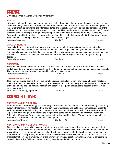**BIOLOGY** Biology I is a laboratory science course that investigates the relationship between structure and function from

molecules to organisms and systems, the interdependence and interactions of biotic and abiotic components of the environment, and systems, the interdependence and interactions of biotic and abiotic components of the environment, and mechanisms that maintain continuity and lead to changes in populations over time. Students explore biological concepts through an inquiry approach. Embedded standards for Inquiry, Technology & Engineering, and Mathematics are taught in the context of the content standards for Cells, Interdependence, Flow of Matter and Energy, Heredity, and Biodiversity and Change. Prerequisites: none example and the Grade 9 1 credit credit of the Magnus of the Grade 9 1 credit

### **BIOLOGY HONORS**

Honors Biology is an in-depth laboratory science course, with high expectations, that investigates the relationship between structure and function from molecules to organisms and systems, the interdependence and interactions of biotic and abiotic components of the environment, and mechanisms that maintain continuity and lead to changes in populations over time. Students explore biological concepts through an inquiry approach. Prerequisites: none and a set of the Grade 9 1 credit of the Grade 9 1 credit 1 credit

### **CHEMISTRY**

This course explores matter, atomic theory, periodic law, compounds, chemical equations, solutions and acids/bases. Lots of lab work and activities will reinforce the material to help the students master the concepts. The course will move at a steady pace and include application of math. Prerequisites: Biology Channel Communication Credit Communication Credit Credit Credit

### **CHEMISTRY HONORS**

This course explores atomic theory, nuclear chemistry, periodic law, organic chemistry, chemical reactions, chemical equilibrium, and kinetics. A strong emphasis will be placed on theory and math application. Because of this strong emphasis on math application and theory, it is required that students possess excellent math skills in Algebra I. Prerequisites: Biology, Algebra I Grade 10 6 Grade 10 1 credit

## SCIENCE ELECTIVES

## **ANATOMY AND PHYSIOLOGY**

Human Anatomy and Physiology is a laboratory science course that includes of an in-depth study of the body systems that maintain homeostasis from anatomical, physiological, and histological perspectives. Students explore anatomical and physiological concepts through an inquiry-based approach. Embedded standards for Inquiry and Technology & Engineering are taught in the context of the content standards for Anatomical Orientation, Protection, Support, and Movement, Integration and Regulation, Transportation, Absorption and Excretion, and Reproduction, Growth, and Development. Prerequisites: Chemistry **Example 20** 11, 12 **Prerequisites: Chemistry Grade 11, 12** 1 credit

## **ANATOMY AND PHYSIOLOGY HONORS**

After a brief overview of all the systems, anatomic terms, cells and tissues, this course will take an in depth look at all 11 organ systems of the human body. Case studies will coincide with several of the units and many labs and hands-on activities will reinforce what the student is learning. Students will dissect a brain, cow eye, sheep heart and sheep kidney through the year. The course concludes with the dissection of a cat with lab practicals that serve as a great review of the entire year. This is a great course for any student considering a career in the medical field and students wanting to understand their body better.

## SCIENCE

*3 credits required including Biology and Chemistry*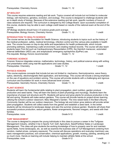This course requires extensive reading and lab work. Topics covered will include but not limited to molecular biology, cell mechanics, genetics, evolution, and ecology. This course is designed to challenge students with an in-depth study of biology. Because of the extensive reading and lab work, specific numbers of hours of class sessions are required. The curriculum is designed by the College Board. Upon successful completion of this course, students may be able to earn college credit based on results of the national exam at the end of the course.

*AP Biology students should have 3.5 science grade point average.*  Prerequisites: Biology Honors, Chemistry Honors Grade 11, 12 1 1 credit

#### **INTRODUCTION TO HEALTH SCIENCE**

The course serves as the foundation for Health Science, introducing students to topics such as the history of the medical profession, safety, medical terminology, infection control and the various jobs available in health care. The course focuses on day-to-day skills and expectations for health professionals, which include promoting wellness, maintaining a safe environment, and creating medical records. The course will also teach students basic First Aid such as Cardiopulmonary Resuscitation (CPR), the Heimlich maneuver, automated external defibrillator (AED) use, and anaphylactic emergency epinephrine (EpiPen) use. Pre-requisite: Biology Honors recommended Grade 11, 12 1 credit

#### **FORENSIC SCIENCE**

Forensic Science integrates science, mathematics, technology, history, and political science along with writing and presentation skills using real-life applications and case studies.

| Prerequisites: Chemistry | Grade 11, 12 | 1 credit |
|--------------------------|--------------|----------|
|                          |              |          |

#### **PHYSICS HONORS**

This course explores concepts that include but are not limited to: mechanics, thermodynamics, wave theory, optics, electricity, electromagnetic field application, and technology. This course will include a strong emphasis on the use of equations and problem solving. This course will provide students with a challenging and rigorous curriculum and foundation for work in more advanced level courses.

Prerequisites: Geometry Honors, Chemistry Honors Grade 11, 12 1 Credit

#### **PLANT SCIENCE**

Students will learn the fundamental skills relating to plant propagation, plant nutrition, garden produce production and seed banks. They will learn the basics of plant physiology and mycology. Students learn the importance of proper soil structure and Ph. Students will sprout and grow plants for produce production in the fall and spring. Students will make sedum gardens. This course will provide hands-on project-driven learning utilizing the school's outdoor classroom, Mary Margaret's Garden. The nine raised beds in the Bee's Bounty Community Garden will be our outdoor classroom. The biology lab and indoor grow stations will provide winter plant propagation. Students will collect seeds from the garden and establish a seed bank. In the winter students will be introduced to landscape design and plan the summer produce garden. Students will share their successful produce production, sedum gardens, flower arrangements, flavored vinegars, and seeds with their families.

Prerequisites: none

| Grade 9-12 | 1 credit |
|------------|----------|

#### **TURF MANAGEMENT**

The course is designed to prepare the young individuals in this class to pursue a career in the Turfgrass Management industry, whether it be in Sports Turf, Golf, Agriculture, Seed/Fertilizer Sales or Landscape Management. This class will give students the working knowledge of how to properly care for and maintain sports fields, home landscapes, etc. as well as examine the business side of Turf Management (ordering from vendors, market prices, company exposure). The course will discuss operations and everyday machinery use, basic management practices, soil conservation, chemical applications, growth, mowing, painting, aerating and so much more. Hands-on learning will include helping to maintain athletic fields at the school. Prerequisites: none and the Grade 9-12 credit of the Grade 9-12 credit of the Material Structure of the Materia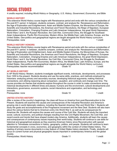## SOCIAL STUDIES

*4 credits required, including World History or Geography, U.S. History, Government, Economics, and Bible* 

#### **WORLD HISTORY**

This extensive World History course begins with Renaissance period and ends with the various complexities of the post-9/11 period. In between, students compare, contrast, and analyze the Renaissance and Reformation, the Age of Exploration and Enlightenment, Asian and Middle Eastern Empires, the Monarchies of Europe, the Scientific and Industrial Revolutions, the American and French Revolutions, the Reign of Napoleon, European Nationalism, Colonialism, Changing Empires and Latin American Independence, the great World Depression, World Wars I and II, the Russian Revolution, the Cold War, Communist China, the Struggle for Southeast Asian Independence, Pacific Rim Economies, Modern Africa, the Middle East, Latin America, Europe, and the United States. Geo-politics and geographical regions are taught alongside the World History curriculum. Prerequisites: none example and the Grade 10 credit of the Grade 10 credit and the 1 credit

#### **WORLD HISTORY HONORS**

This extensive World History course begins with Renaissance period and ends with the various complexities of the post-9/11 period. In between, students compare, contrast, and analyze the Renaissance and Reformation, the Age of Exploration and Enlightenment, Asian and Middle Eastern Empires, the Monarchies of Europe, the Scientific and Industrial Revolutions, the American and French Revolutions, the Reign of Napoleon, European Nationalism, Colonialism, Changing Empires and Latin American Independence, the great World Depression, World Wars I and II, the Russian Revolution, the Cold War, Communist China, the Struggle for Southeast Asian Independence, Pacific Rim Economies, Modern Africa, the Middle East, Latin America, Europe, and the United States. Geo-politics and geographical regions are taught alongside the World History curriculum. Prerequisites: teacher recommendation example of Grade 10 and the credit of credit

#### **AP WORLD HISTORY**

In AP World History: Modern, students investigate significant events, individuals, developments, and processes from 1200 to the present. Students develop and use the same skills, practices, and methods employed by historians: analyzing primary and secondary sources; developing historical arguments; making historical connections; and utilizing reasoning about comparison, causation, and continuity and change over time. The course provides six themes that students explore throughout the course in order to make connections among historical developments in different times and places: humans and the environment, cultural developments and interactions, governance, economic systems, social interactions and organization, and technology and innovate. Prerequisites: none and a set of the Grade 10 and the Grade 10 and 1 credit

#### **UNITED STATES HISTORY**

After a review of the country's beginnings, the class will focus on America from post-Reconstruction to the Present. Students will examine the causes and consequences of the Industrial Revolution and America's growing role in world diplomatic relations, including the Spanish American War and World War I. Students will study the goals and accomplishments of the Progressive movement and the New Deal. Students will also learn about the various factors that led to America's entry into World War II, as well as its consequences for American life. Students will explore the causes and course of the Cold War. Students will study the important social, cultural, economic, and political changes resulting from the Civil Rights Movement, the Cold War, and recent events and trends that have shaped modern-day America. Additionally, students will learn the causes and consequences of contemporary issues impacting their world today. Students will continue to use skills for historical and geographical analysis as they examine American history since Reconstruction with special attention to Tennessee connections in history, geography, politics, and people. Students will continue to learn fundamental concepts in civics, economics, and geography within the context of United States history. The reading of primary source documents is a key feature of United States history standards. Finally, students will focus on current human and physical geographic issues important in contemporary America and the global society.

Prerequisites: World History **Crame Communist Crame Crame Crame Crame Crame Crame Crame Crame Crame Crame Crame C**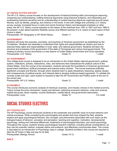#### **AP UNITED STATES HISTORY**

The AP U.S. History course focuses on the development of historical thinking skills (chronological reasoning, comparing and contextualizing, crafting historical arguments using historical evidence, and interpreting and synthesizing historical narrative) and an understanding of content learning objectives organized around seven themes, such as identity, peopling, and America in the world. In line with college and university U.S. history survey courses' increased focus on early and recent American history and decreased emphasis on other areas, the AP U.S. History course expands on the history of the Americas from 1491 to 1607 and from 1980 to the present. It also allows teachers flexibility across nine different periods of U.S. history to teach topics of their choice in depth.

Prerequisites: AP Geography or AP World History Grade 11 credit

#### **GOVERNMENT**

Students will study the purposes, principles, and practices of American government as established by the Constitution. Students are expected to understand their rights and responsibilities as citizens and how to exercise these rights and responsibilities in local, state, and national government. Students will learn the structure and processes of the government of the state of Tennessee and various local governments. The reading of primary source documents is a key feature of United States Government and Civics standards. Prerequisites: U.S. History **Crack Communist Crack Communist Crack** Grade 12 1 credit

#### **AP GOVERNMENT**

This college-level course is designed to be an introduction to the United States national government, political system, institutions, policies, interactions, roles, and behaviors that characterize the political culture of the United States. Over the course of two semesters, students will study the foundations of American government, government institutions, political processes and examine policy choices. The course examines politically significant concepts and themes, through which students learn to apply disciplinary reasoning, assess causes and consequences of political events, and interpret data to develop evidence-based arguments. To validate the courses scope and rigor, each student is required to take the AP Government and Politics exam at the end of the school year.

Prerequisites: AP U.S. History **Example 2** 1 credit

#### **ECONOMICS**

This course introduces economic analysis of individual, business, and industry choices in the market economy. Topics include the price mechanism, supply and demand, optimizing economic behavior, costs and revenue, market structures, factor markets, income distribution, market failure, and government intervention. Prerequisites: none Crack Control of Grade 12 and Crack Control of Credit Control of Credit Control of Credit Control of Credit Control of Credit Control of Credit Control of Credit Control of Credit Control of Credit Cont

## SOCIAL STUDIES ELECTIVES

#### **AP PYSCHOLOGY**

The AP Psychology course introduces students to the systematic and scientific study of human behavior and mental processes. While considering the psychologists and studies that have shaped the field, students explore and apply psychological theories, key concepts, and phenomena associated with such topics as the biological bases of behavior, sensation and perception, learning and cognition, motivation, developmental psychology, testing and individual differences, treatments of psychological disorders, and social psychology. Throughout the course, students employ psychological research methods, including ethical considerations, as they use the scientific method, evaluate claims and evidence, and effectively communicate ideas. This course is equivalent to an Introduction to Psychology class in college. Students enrolled in this course are required to take the AP Exam in May and pay for its fees. Prerequisites: Biology Honors **Crack Contract Crack** Grade 10-12 1 credit

#### **BIBLE**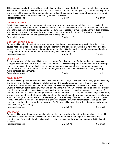This semester long Bible class will give students a great overview of the Bible from a chronological approach. The course will break the Scriptures into 14 eras which will help the students gain a great understanding of the grand story of the Bible and how it relates to them today. The course will also require Scripture memory and help students to become familiar with finding verses in the Bible. Prerequisites: none Grade 9 0.5 credit

### **CRIMINAL JUSTICE**

Criminal Justice serves as a comprehensive survey of how the law enforcement, legal, and correctional systems interact with each other in the United States. Upon completion of this course, proficient students will understand the context of local, state, and federal laws, the concepts of crime control and the judicial process, and the importance of communications and professionalism in law enforcement. Students will have an understanding of sentencing and corrections and juvenile justice. Prerequisites: none and the Grade 11-12 credit in the Grade 11-12 and the Material Street and the Materia of the Materia of the Materia of the Materia of the Materia of the Materia of the Materia of the Materia of the Mate

#### **CONTEMPORARY ISSUES**

Students will use inquiry skills to examine the issues that impact the contemporary world. Included in the course will be analysis of the historical, cultural, economic, and geographic factors that have raised certain issues to levels of concern in our nation and around the globe. Students will engage in research and problem solving in order to better understand and assess significant current issues. Prerequisites: none and the Grade 12 credit of the Grade 12 credit of the Magnus of the Magnus of the Magnus of the Magnus of the Magnus of the Magnus of the Magnus of the Magnus of the Magnus of the Magnus of the Magnus o

#### **LIFE SKILLS**

A primary purpose of high school is to prepare students for college or other further studies, but successful young adults must also perform in real-world situations. Life Skills is designed to increase student knowledge and skills necessary for everyday living. The course emphasizes automotive management, professional requirements and social etiquette, finances and budgeting, and basic self-care such as cooking, laundry, making medical appointments. Prerequisites: none and a set of the Grade 12 and the Grade 12 and the Material Street and the Materia of the Materia of the Materia of the Materia of the Materia of the Materia of the Materia of the Materia of the Materia

#### **PSYCHOLOGY**

Students will study the development of scientific attitudes and skills, including critical thinking, problem solving, and scientific methodology. Students will also examine the structure and function of the nervous system in human and non-human animals, the processes of sensation and perception, and life span development. Students will study social cognition, influence, and relations. Students will examine social and cultural diversity and diversity among individuals. Students will study memory, including encoding, storage, and retrieval of memory. Students will also study perspectives of abnormal behavior and categories of psychological disorders, including treatment thereof. Students will elaborate on the importance of drawing evidence-based conclusions about psychological phenomena and gain knowledge on a wide array of issues on both individual and global levels. Throughout the course, students will examine connections between content areas within psychology and relate psychological knowledge to everyday life. Students will explore the variety of careers available to those who study psychology. Prerequisites: none Grade 9-12 Crackers and Grade 9-12 Credit

#### **SOCIOLOGY**

Students will explore the ways sociologists view society, and also how they study the social world. In addition, students will examine culture, socialization, deviance and the structure and impact of institutions and organizations. Also, students will study selected social problems and how change impacts individuals and societies. Prerequisites: none Grade 9-12 0.5 credit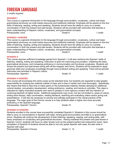## FOREIGN LANGUAGE

*2 credits required*

### **SPANISH I**

This course is a general introduction to the language through pronunciation, vocabulary, culture and basic grammatical structures via multi-media resources and traditional methods. Emphasis will be placed on the four skills of listening, reading, writing and speaking. Students should have the ability to carry on a simple conversation in both the present and past tenses. Students will be provided with instruction that teaches a basic understanding of Hispanic culture, vocabulary, and grammatical concepts. Prerequisites: none example and the Grade 9 1 credit contract of the Grade 9 1 credit

#### **SPANISH I HONORS**

This course is a general introduction to the language through pronunciation, vocabulary, culture and basic grammatical structures via multi-media resources and traditional methods. Emphasis will be placed on the four skills of listening, reading, writing and speaking. Students should have the ability to carry on a simple conversation in both the present and past tenses. Students will be provided with instruction that teaches a basic understanding of Hispanic culture, vocabulary, and grammatical concepts. Prerequisites: none and a set of the Grade 9 1 credit in the Grade 9 1 credit in the 1 credit in the 1 credit

#### **SPANISH II**

This course requires sufficient knowledge gained from Spanish I. It will also reinforce the Spanish I skills of listening, reading, writing and speaking. Instruction is given for improving pronunciation, mastering the basic grammatical structures, and increasing proficiency in communication and functional vocabulary. Students will review the present and past tenses along with all the irregular verb forms. Students will be expected to apply grammar skills and vocabulary knowledge through more proficient writing and speaking. There will be periodic instruction and activities in Hispanic culture. Prerequisites: Spanish I Grade 10 and Grade 10 and Grade 10 and 1 credit

#### **SPANISH II HONORS**

This course will encompass the same scope as the standard level, but students are expected to take greater responsibility for studying the material outside of class and to learn it earlier and more thoroughly. Specifically, this means that there is less time in-class spent on the fundamental material, thereby allowing for additional cultural studies, conversation development, writing proficiency, reading, and hands-on activities. This class is intended for highly-motivated students who want to partake in more rigorous content with the intention of continuing Spanish at higher levels. Additional assignments may cover, but are not limited to, areas of culture, writing short essays, daily conversation, reading literature, watching and evaluating videos and/or giving oral presentations. It will also be necessary to actively and willingly participant in the verbal practice of the language. The major goal of this Honors course is to help students attain a higher and more accurate proficiency in the Spanish language. Prerequisites: Spanish I Honors **Crack Crack Crack Crack Crack** Crack Credit 1 credit

#### **SPANISH III HONORS**

Students enrolled in this course have successfully completed Spanish II. Students in this course should be able to carry on conversations in Spanish with ease, having good pronunciation and little to no grammatical errors. Students will continue the development of their listening, speaking, reading, and writing skills, with heavy emphasis on vocabulary and grammatical structures. Having mastered the present and past tenses in Spanish I and II, students will focus on other tenses such as the present perfect and subjunctive mood. Upon completion of Spanish III students should be able to not only speak Spanish with ease, but also write in Spanish with ease.

Prerequisites: Spanish II Honors and Crack and Grade 11, 12 and 1 credit

| Grade 11, 12 |  |  |
|--------------|--|--|
|--------------|--|--|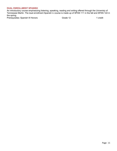## **DUAL ENROLLMENT SPANISH**

An introductory course emphasizing listening, speaking, reading and writing offered through the Univeristy of Tennessee Martin. The dual enrollment Spanish iv course is made up of SPAN 111 in the fall and SPAN 122 in the spring.

Prerequisites: Spanish III Honors **Grade 12** 67 and 57 and 57 and 57 and 57 and 57 and 57 and 57 and 57 and 57 and 57 and 57 and 57 and 57 and 57 and 57 and 57 and 57 and 57 and 57 and 57 and 57 and 57 and 57 and 57 and 57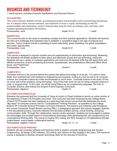## BUSINESS AND TECHNOLOGY

*1 credit required, including Computer Applications and Personal Finance*

#### **ACCOUNTING**

This course instructs students on basic accounting procedures and principles such as journalizing and posting; use of a balance sheet, income statement, and statement of owner's equity; maintaining records for proprietorships and corporations; analyze financial data using the basic accounting cycle; and many other standard operating procedures for business. Prerequisites: none example and the Grade 10-12 and the 1 credit

#### **MARKETING**

The course focuses on the study of marketing concepts and their practical applications. Students will examine the risks and challenges that marketers face to establish a competitive edge in the sale of products and services. Topics covered include e-marketing & social networking, green marketing, the global marketplace, and career opportunities. Prerequisites: none example and the Grade 9-12 credit of the Grade 9-12 and the Mateus of the Grade 9-12 and the Mateus of the Mateus of the Grade 9-12 and the Mateus of the Mateus of the Mateus of the Mateus of the Mateus

#### **COMPUTER I**

This course is designed to improve student use and understanding of information age technology. Mastering the standards will enable students to learn about and effectively access and use technology resources. Students will use a variety of computer applications and tools and will develop skills that will assist them with efficient production of word processing documents, spreadsheets, and presentations (Microsoft Office Word, Excel, and PowerPoint). Prerequisites: none example and the Grade 9 1 credit credit of the Grade 9 1 credit

#### **COMPUTER II**

Computer science is the process behind the scenes that allows technology to do its job. It is used in many fields, from entertainment and medicine to engineering and business. Coding is a tool we use to do computer science, but computer science as a field encompasses so much more. Computer science is the study of how we solve real human problems using technology. One of the main tools we use for doing computer science is code, or programming. In this class, we will be using Python as our programming language. The Intro to Computer Science class follows the Amazon Future Engineer Curriculum. Prerequisites: Algebra I Grade 10 and Grade 10 and 1 credit

#### **AP COMPUTER PRINCIPLES**

Edhesive has partnered with the University of Texas at Austin's UTeach Institute to launch an online version of the esteemed UTeach CS Principles curriculum. This curriculum has been endorsed by the College Board. UTeach CS Principles has been designed as a year-long high school course that fully addresses the seven "Big Ideas" of computer science and six "Computational Thinking Practices", as specified by the College Board's AP Computer Science Principles curriculum framework. The lessons and materials used throughout this course incorporate Project-Based Learning (PBL), a pedagogical approach that actively engages students in the educational process, improves retention and develops problem-solving, critical thinking, and group communication skills. Through this collaborative, learner-centric approach, students are encouraged to explore the advantages and societal impact of computational technology while developing their own programming and computational thinking skills. The course is roughly 20% coding, and 80% focused on CS applications through project-based, inquiry-based, collaborative learning. Prerequisites: Algebra I Honors **Grade 10, 11, 12** 1 credit

#### **VEX ROBOTICS/3D PRINTING**

Students will use computer software and hardware tools to explore computer programming with Scratch Programming, 3D design (CAD software), 3D printing, and robotics as they engage in this class. This hands-on course is designed to develop computer technology skills for the new jobs of tomorrow.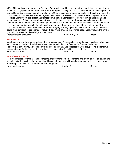VEX - This curriculum leverages the "coolness" of robotics, and the excitement of head to head competition to inspire and engage students. Students will walk through the design and build a mobile robot to play a sport-like game. During this process they will learn key STEM principles, and robotics concepts. At the culmination of this class, they will compete head-to-head against their peers in the classroom, or on the world stage in the VEX Robotics Competition, the largest and fastest growing international robotics competition for middle and high school students. This modular and project-based curriculum teaches the design process in an engaging, hands-on manner to help teachers challenge, motivate, and inspire their students. By moving students through an actual engineering project, students quickly understand the relevance of what they are learning. The curriculum is created to ensure that students with varying learning styles and levels can accomplish the lesson goals. No prior robotics experience is required; beginners are able to advance sequentially through the units to gradually increase their knowledge and skill level. Prerequisites: Computer I Grade 10, 11, 12 1 credit

#### **YEARBOOK**

Yearbook is a year-long elective class which produces the FA yearbook, The students in this class will develop skills in graphic design, digital photography, image manipulation software (Herff Jones Design and PicMonkey), advertising, ad design, proofreading, leadership, and cooperative work groups. The students will take all pictures for the yearbook and will also be responsible for selling yearbook ads. Prerequisites: none example and the Grade 11, 12 and 1 credit

#### **PERSONAL FINANCE**

Real world topics covered will include income, money management, spending and credit, as well as saving and investing. Students will design personal and household budgets utilizing checking and saving accounts, gain knowledge in finance, and debt and credit management. Prerequisites: none Grade 12 Crackers Constants Crackers Crackers Crackers Crackers Constants Credit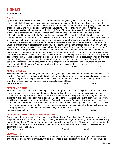#### **BAND**

Upper School Band/Wind Ensemble is a yearlong course that typically consists of 9th, 10th, 11th, and 12th grade students that have had previous instruction on a wind instrument (Flute, Oboe, Bassoon, Clarinet, Saxophone, French Horn, Trumpet, Trombone, Euphonium, and Tuba). Students participating in their first year of High School Band will be enrolled in Percussion Ensemble, where they will build upon instrumental fundamentals and techniques learned in Junior High Band. Throughout the year, focus will largely be on musical development on each student's instrument, with emphasis in sight-reading, balance, tuning, articulation, and tone quality. In the Fall, students will focus on Marching Band. Students will be required to attend all Football Games, Band Competitions, After-School Rehearsals, and Band Camp, which is usually the last two weeks of July. In November, students will transition to Wind Ensemble, where they will work on continuing to develop their instrumental fundamentals and rehearse music as an ensemble on a daily basis. Students are required to participate in all scheduled concerts, as well as Concert Festival. Students will also have the optional opportunity to participate in honor bands in West Tennessee. Concerts at the end of the Fall Semester and Spring Semester count as the students' final exam. Students that are first-year marchers (meaning marching a position on the field) are not permitted to participate in other activities that would prevent them from attending ALL after-school marching rehearsals or band camp. Students that wish to participate in band where such a conflict exists may still do so as a member of front ensemble percussion or as an alternate marcher, though they are still expected to attend all games, competitions, and concerts. If a student participates in front ensemble percussion, and his/her primary instrument is a wind instrument, he/she will transition to that instrument in November and play it for the remainder of the school year. Prerequisites: audition example and the set of the Grade 9-12 and the set of the set of the set of the Security Control of the Security Control of the Security Control of the Security Control of the Security Control of the

#### **FILM AND CINEMA**

This course examines and analyses the technical, psychological, historical and musical aspects of movies and how they affect culture in today's world. Grades will be based around class discussions and quizzes as well as projects using iMovie to be presented in class. Quizzes determine how well the students comprehend underlying messages in movies pertaining to particular areas of focus. Prerequisites: Art I Grade 11-12 and School and School and School and School and School and School and School and School and School and School and School and School and School and School and School and School and School an

#### **PERFORMING ARTS**

Performing Arts is a course that seeks to give students in grades 7 through 12 experience in the study and performance of vocal music, dance, theater, make-up and set design. This course includes instruction in proper vocal technique, dance skills and theatrical arts and requires a simple vocal and acting audition. All students in this class will be required to attend some after school practices and several performances. A few activities will necessitate some missed classes. Fees will be required for dance shoes and one competitive event. Students will need to provide exercise attire for school practice, clothing suitable for painting and makeup for performances. Upon completion of this course, students will be able to identify dramatic structure and choreography and will be well-versed in artistic design for the theater. Prerequisites: audition and the contract of the Credit Credit Credit Credit Credit Credit Credit Credit Credit

#### **PERFORMING ARTS: AUDIO AND PRODUCTION**

Experience behind the scenes of the theatre world in Audio and Production class! Students will learn about stage elements, theatre appreciation, Lights and Lighting Design, Stage properties (props), Costumes/Makeup, Scene Design, Crews/Assignments, Sound Engineering/Recording Box Office/Ticket Sales Publicity during the school year. Students must be available to help out with Performing Arts shows which will be given at the beginning of the school year. Prerequisites: none Crack Control of Grade 9-12 and Credit 1 credit

#### **VISUAL ART I**

This one-year course introduces students to the Elements of Art and Principles of Design while developing drawing skills and painting techniques. Studio experiences in the classroom will give students opportunities to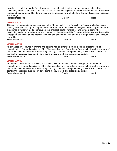experience a variety of media (pencil, pen, ink, charcoal, pastel, watercolor, and tempera paint) while developing student's individual style and creative problem-solving skills. Students will demonstrate their ability to respond, to analyze and to interpret their own artwork and the work of others through discussions, critiques, and writings. Prerequisites: none **1** credit **VISUAL ART II** This one-year course introduces students to the Elements of Art and Principles of Design while developing drawing skills and painting techniques. Studio experiences in the classroom will give students opportunities to experience a variety of media (pencil, pen, ink, charcoal, pastel, watercolor, and tempera paint) while developing student's individual style and creative problem-solving skills. Students will demonstrate their ability to respond, to analyze and to interpret their own artwork and the work of others through discussions, critiques, and writings. Prerequisites: Art I Grade 10 and Credit Credit Credit Credit Credit Credit Credit **VISUAL ART III** An advanced level course in drawing and painting with an emphasis on developing a greater depth of

understanding of art and application of the Elements of Art and Principles of Design to their work in a variety of media. Studio experiences include drawing, painting, illustration, and printmaking projects. Each student will demonstrate progress over time by developing a body of work and organizing a portfolio. Prerequisites: Art II Credit Contract Contract Contract Credit Credit Credit Credit

#### **VISUAL ART IV**

An advanced level course in drawing and painting with an emphasis on developing a greater depth of understanding of art and application of the Elements of Art and Principles of Design to their work in a variety of media. Studio experiences include drawing, painting, illustration, and printmaking projects. Each student will demonstrate progress over time by developing a body of work and organizing a portfolio. Prerequisites: Art III Camera Control of Care Control of Credit Control of Credit Control of Credit Control of Credit